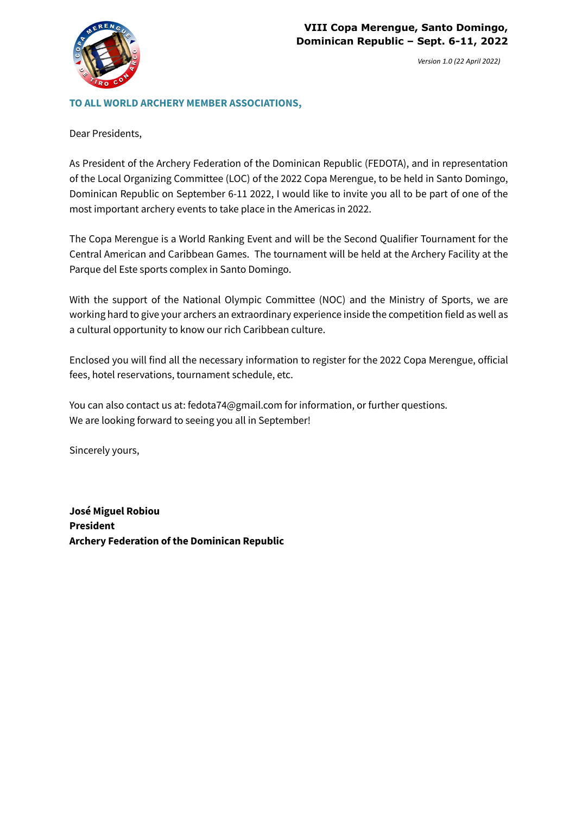

### **TO ALL WORLD ARCHERY MEMBER ASSOCIATIONS,**

Dear Presidents,

As President of the Archery Federation of the Dominican Republic (FEDOTA), and in representation of the Local Organizing Committee (LOC) of the 2022 Copa Merengue, to be held in Santo Domingo, Dominican Republic on September 6-11 2022, I would like to invite you all to be part of one of the most important archery events to take place in the Americas in 2022.

The Copa Merengue is a World Ranking Event and will be the Second Qualifier Tournament for the Central American and Caribbean Games. The tournament will be held at the Archery Facility at the Parque del Este sports complex in Santo Domingo.

With the support of the National Olympic Committee (NOC) and the Ministry of Sports, we are working hard to give your archers an extraordinary experience inside the competition field as well as a cultural opportunity to know our rich Caribbean culture.

Enclosed you will find all the necessary information to register for the 2022 Copa Merengue, official fees, hotel reservations, tournament schedule, etc.

You can also contact us at: fedota74@gmail.com for information, or further questions. We are looking forward to seeing you all in September!

Sincerely yours,

**José Miguel Robiou President Archery Federation of the Dominican Republic**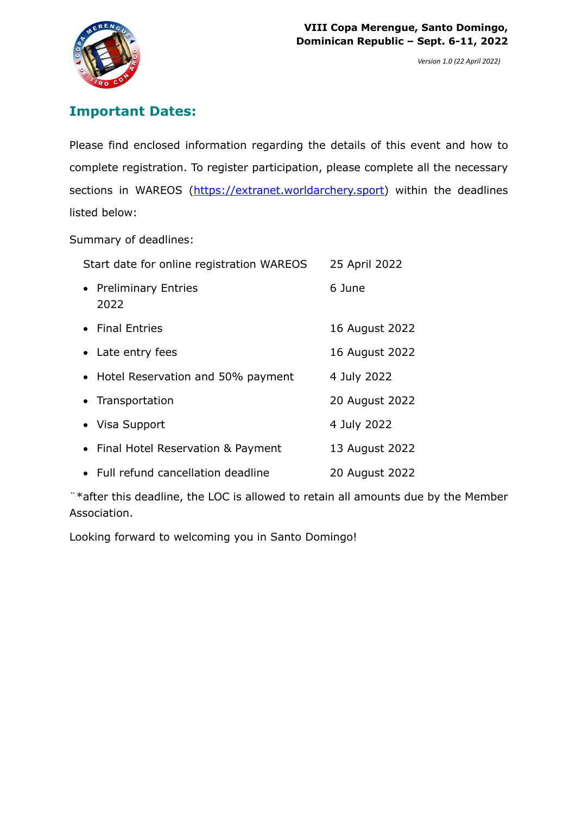

# **Important Dates:**

Please find enclosed information regarding the details of this event and how to complete registration. To register participation, please complete all the necessary sections in WAREOS (https://extranet.worldarchery.sport) within the deadlines listed below:

Summary of deadlines:

| Start date for online registration WAREOS | 25 April 2022  |
|-------------------------------------------|----------------|
| • Preliminary Entries<br>2022             | 6 June         |
| • Final Entries                           | 16 August 2022 |
| • Late entry fees                         | 16 August 2022 |
| • Hotel Reservation and 50% payment       | 4 July 2022    |
| • Transportation                          | 20 August 2022 |
| • Visa Support                            | 4 July 2022    |
| • Final Hotel Reservation & Payment       | 13 August 2022 |
| • Full refund cancellation deadline       | 20 August 2022 |

¨\*after this deadline, the LOC is allowed to retain all amounts due by the Member Association.

Looking forward to welcoming you in Santo Domingo!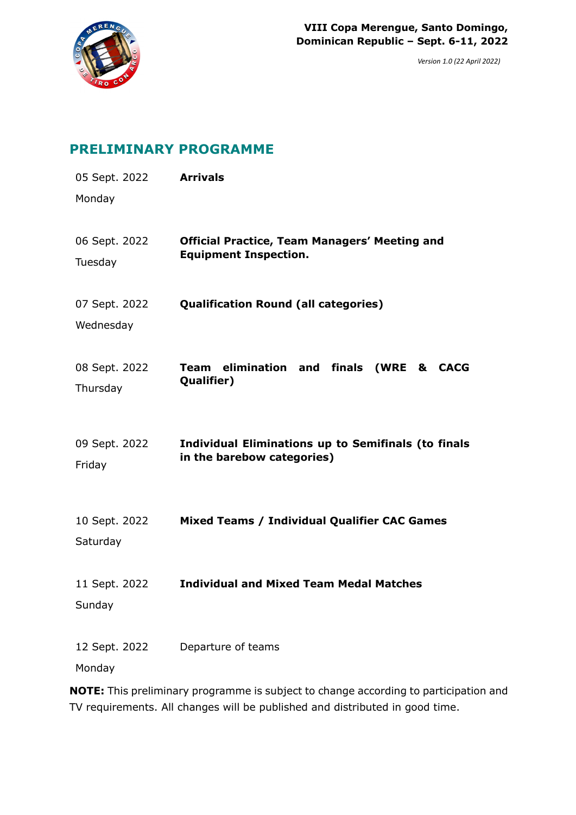

## **PRELIMINARY PROGRAMME**

| 05 Sept. 2022<br>Monday    | <b>Arrivals</b>                                                                          |
|----------------------------|------------------------------------------------------------------------------------------|
| 06 Sept. 2022<br>Tuesday   | <b>Official Practice, Team Managers' Meeting and</b><br><b>Equipment Inspection.</b>     |
| 07 Sept. 2022<br>Wednesday | <b>Qualification Round (all categories)</b>                                              |
| 08 Sept. 2022<br>Thursday  | Team elimination and finals (WRE & CACG<br>Qualifier)                                    |
| 09 Sept. 2022<br>Friday    | <b>Individual Eliminations up to Semifinals (to finals</b><br>in the barebow categories) |
| 10 Sept. 2022<br>Saturday  | Mixed Teams / Individual Qualifier CAC Games                                             |
| 11 Sept. 2022<br>Sunday    | <b>Individual and Mixed Team Medal Matches</b>                                           |
| Monday                     | 12 Sept. 2022 Departure of teams                                                         |

**NOTE:** This preliminary programme is subject to change according to participation and TV requirements. All changes will be published and distributed in good time.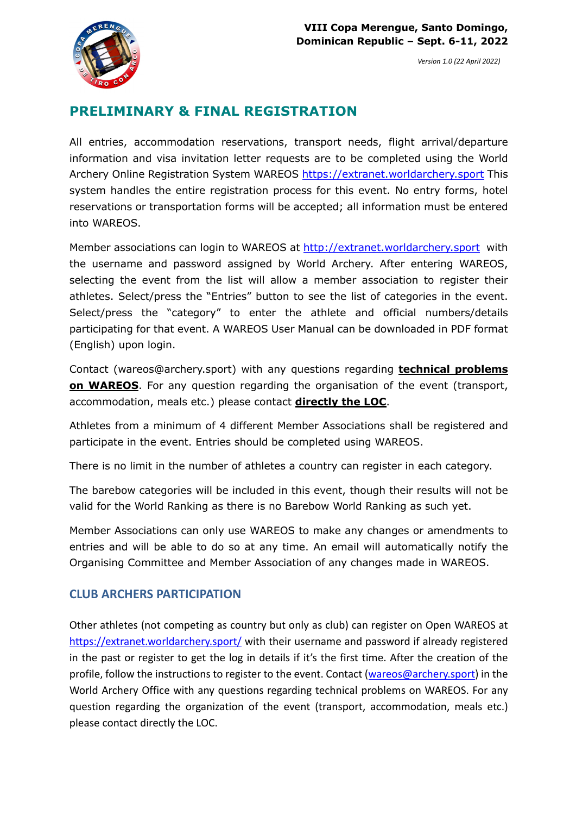

# **PRELIMINARY & FINAL REGISTRATION**

All entries, accommodation reservations, transport needs, flight arrival/departure information and visa invitation letter requests are to be completed using the World Archery Online Registration System WAREOS https://extranet.worldarchery.sport This system handles the entire registration process for this event. No entry forms, hotel reservations or transportation forms will be accepted; all information must be entered into WAREOS.

Member associations can login to WAREOS at http://extranet.worldarchery.sport with the username and password assigned by World Archery. After entering WAREOS, selecting the event from the list will allow a member association to register their athletes. Select/press the "Entries" button to see the list of categories in the event. Select/press the "category" to enter the athlete and official numbers/details participating for that event. A WAREOS User Manual can be downloaded in PDF format (English) upon login.

Contact (wareos@archery.sport) with any questions regarding **technical problems on WAREOS**. For any question regarding the organisation of the event (transport, accommodation, meals etc.) please contact **directly the LOC**.

Athletes from a minimum of 4 different Member Associations shall be registered and participate in the event. Entries should be completed using WAREOS.

There is no limit in the number of athletes a country can register in each category.

The barebow categories will be included in this event, though their results will not be valid for the World Ranking as there is no Barebow World Ranking as such yet.

Member Associations can only use WAREOS to make any changes or amendments to entries and will be able to do so at any time. An email will automatically notify the Organising Committee and Member Association of any changes made in WAREOS.

## **CLUB ARCHERS PARTICIPATION**

Other athletes (not competing as country but only as club) can register on Open WAREOS at https://extranet.worldarchery.sport/ with their username and password if already registered in the past or register to get the log in details if it's the first time. After the creation of the profile, follow the instructions to register to the event. Contact (wareos@archery.sport) in the World Archery Office with any questions regarding technical problems on WAREOS. For any question regarding the organization of the event (transport, accommodation, meals etc.) please contact directly the LOC.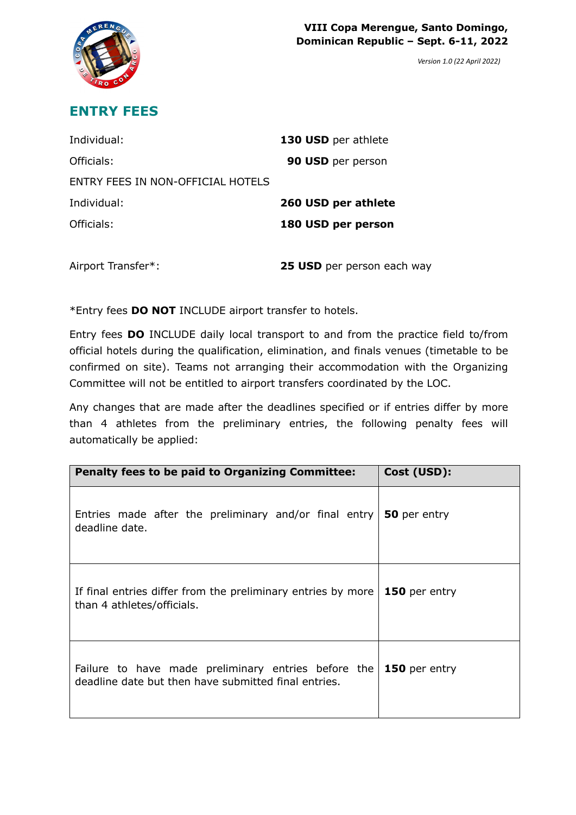



## **ENTRY FEES**

| Individual:                       | 130 USD per athlete |
|-----------------------------------|---------------------|
| Officials:                        | 90 USD per person   |
| ENTRY FEES IN NON-OFFICIAL HOTELS |                     |
| Individual:                       |                     |
|                                   | 260 USD per athlete |
| Officials:                        | 180 USD per person  |

Airport Transfer\*: **25 USD** per person each way

\*Entry fees **DO NOT** INCLUDE airport transfer to hotels.

Entry fees **DO** INCLUDE daily local transport to and from the practice field to/from official hotels during the qualification, elimination, and finals venues (timetable to be confirmed on site). Teams not arranging their accommodation with the Organizing Committee will not be entitled to airport transfers coordinated by the LOC.

Any changes that are made after the deadlines specified or if entries differ by more than 4 athletes from the preliminary entries, the following penalty fees will automatically be applied:

| <b>Penalty fees to be paid to Organizing Committee:</b>                                                     | Cost (USD):   |
|-------------------------------------------------------------------------------------------------------------|---------------|
| Entries made after the preliminary and/or final entry<br>deadline date.                                     | 50 per entry  |
| If final entries differ from the preliminary entries by more<br>than 4 athletes/officials.                  | 150 per entry |
| Failure to have made preliminary entries before the<br>deadline date but then have submitted final entries. | 150 per entry |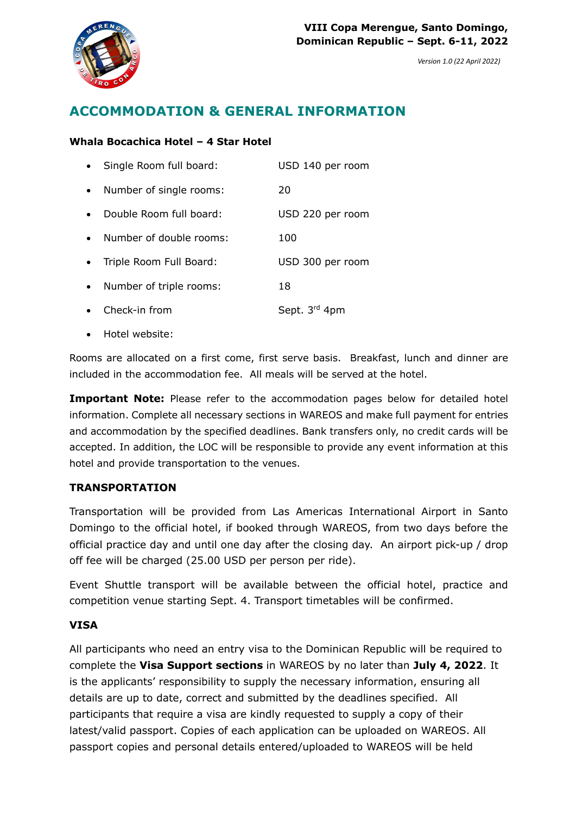

# **ACCOMMODATION & GENERAL INFORMATION**

### **Whala Bocachica Hotel – 4 Star Hotel**

|           | Single Room full board: | USD 140 per room |
|-----------|-------------------------|------------------|
| $\bullet$ | Number of single rooms: | 20               |
| $\bullet$ | Double Room full board: | USD 220 per room |
| $\bullet$ | Number of double rooms: | 100              |
| $\bullet$ | Triple Room Full Board: | USD 300 per room |
| $\bullet$ | Number of triple rooms: | 18               |
|           | Check-in from           | Sept. 3rd 4pm    |

• Hotel website:

Rooms are allocated on a first come, first serve basis. Breakfast, lunch and dinner are included in the accommodation fee. All meals will be served at the hotel.

**Important Note:** Please refer to the accommodation pages below for detailed hotel information. Complete all necessary sections in WAREOS and make full payment for entries and accommodation by the specified deadlines. Bank transfers only, no credit cards will be accepted. In addition, the LOC will be responsible to provide any event information at this hotel and provide transportation to the venues.

### **TRANSPORTATION**

Transportation will be provided from Las Americas International Airport in Santo Domingo to the official hotel, if booked through WAREOS, from two days before the official practice day and until one day after the closing day. An airport pick-up / drop off fee will be charged (25.00 USD per person per ride).

Event Shuttle transport will be available between the official hotel, practice and competition venue starting Sept. 4. Transport timetables will be confirmed.

### **VISA**

All participants who need an entry visa to the Dominican Republic will be required to complete the **Visa Support sections** in WAREOS by no later than **July 4, 2022**. It is the applicants' responsibility to supply the necessary information, ensuring all details are up to date, correct and submitted by the deadlines specified. All participants that require a visa are kindly requested to supply a copy of their latest/valid passport. Copies of each application can be uploaded on WAREOS. All passport copies and personal details entered/uploaded to WAREOS will be held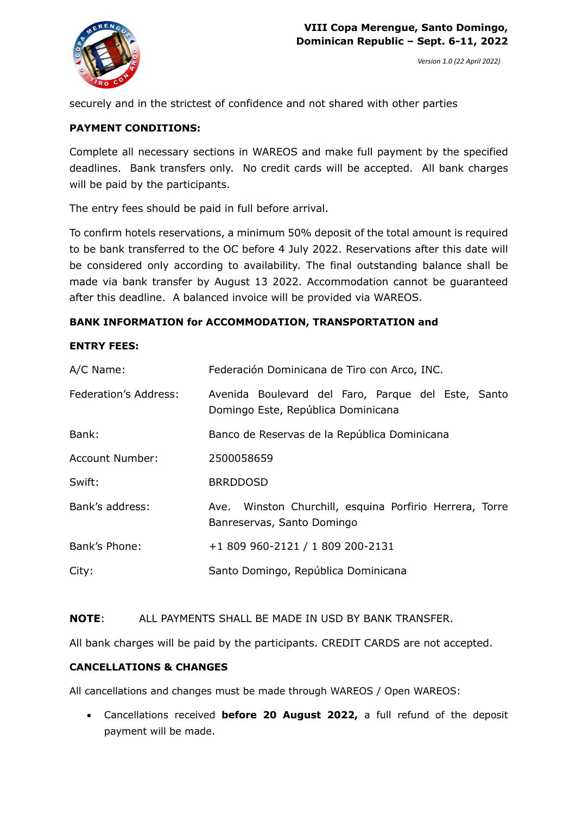



securely and in the strictest of confidence and not shared with other parties

#### **PAYMENT CONDITIONS:**

Complete all necessary sections in WAREOS and make full payment by the specified deadlines. Bank transfers only. No credit cards will be accepted. All bank charges will be paid by the participants.

The entry fees should be paid in full before arrival.

To confirm hotels reservations, a minimum 50% deposit of the total amount is required to be bank transferred to the OC before 4 July 2022. Reservations after this date will be considered only according to availability. The final outstanding balance shall be made via bank transfer by August 13 2022. Accommodation cannot be guaranteed after this deadline. A balanced invoice will be provided via WAREOS.

#### **BANK INFORMATION for ACCOMMODATION, TRANSPORTATION and**

#### **ENTRY FEES:**

| A/C Name:                    | Federación Dominicana de Tiro con Arco, INC.                                             |  |
|------------------------------|------------------------------------------------------------------------------------------|--|
| <b>Federation's Address:</b> | Avenida Boulevard del Faro, Parque del Este, Santo<br>Domingo Este, República Dominicana |  |
| Bank:                        | Banco de Reservas de la República Dominicana                                             |  |
| <b>Account Number:</b>       | 2500058659                                                                               |  |
| Swift:                       | <b>BRRDDOSD</b>                                                                          |  |
| Bank's address:              | Ave. Winston Churchill, esquina Porfirio Herrera, Torre<br>Banreservas, Santo Domingo    |  |
| Bank's Phone:                | +1 809 960-2121 / 1 809 200-2131                                                         |  |
| City:                        | Santo Domingo, República Dominicana                                                      |  |

#### **NOTE**: ALL PAYMENTS SHALL BE MADE IN USD BY BANK TRANSFER.

All bank charges will be paid by the participants. CREDIT CARDS are not accepted.

#### **CANCELLATIONS & CHANGES**

All cancellations and changes must be made through WAREOS / Open WAREOS:

• Cancellations received **before 20 August 2022,** a full refund of the deposit payment will be made.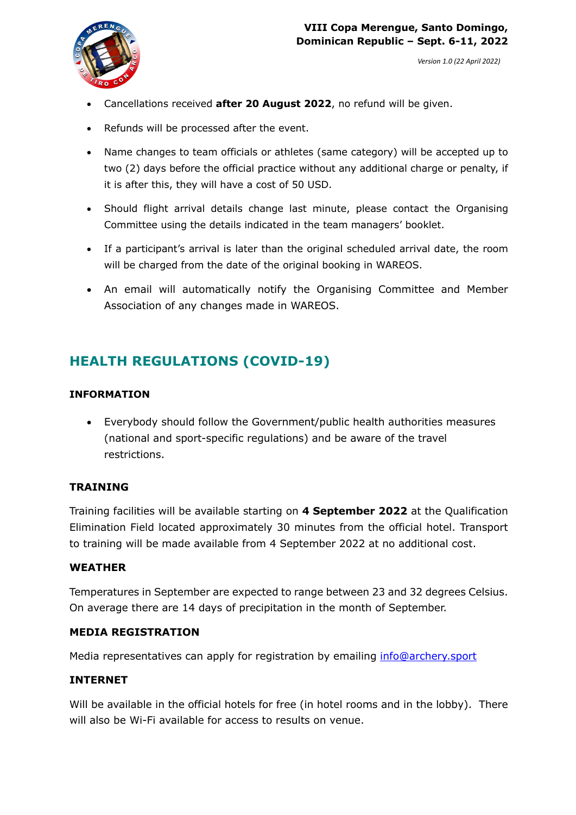

- Cancellations received **after 20 August 2022**, no refund will be given.
- Refunds will be processed after the event.
- Name changes to team officials or athletes (same category) will be accepted up to two (2) days before the official practice without any additional charge or penalty, if it is after this, they will have a cost of 50 USD.
- Should flight arrival details change last minute, please contact the Organising Committee using the details indicated in the team managers' booklet.
- If a participant's arrival is later than the original scheduled arrival date, the room will be charged from the date of the original booking in WAREOS.
- An email will automatically notify the Organising Committee and Member Association of any changes made in WAREOS.

# **HEALTH REGULATIONS (COVID-19)**

### **INFORMATION**

• Everybody should follow the Government/public health authorities measures (national and sport-specific regulations) and be aware of the travel restrictions.

### **TRAINING**

Training facilities will be available starting on **4 September 2022** at the Qualification Elimination Field located approximately 30 minutes from the official hotel. Transport to training will be made available from 4 September 2022 at no additional cost.

### **WEATHER**

Temperatures in September are expected to range between 23 and 32 degrees Celsius. On average there are 14 days of precipitation in the month of September.

### **MEDIA REGISTRATION**

Media representatives can apply for registration by emailing info@archery.sport

### **INTERNET**

Will be available in the official hotels for free (in hotel rooms and in the lobby). There will also be Wi-Fi available for access to results on venue.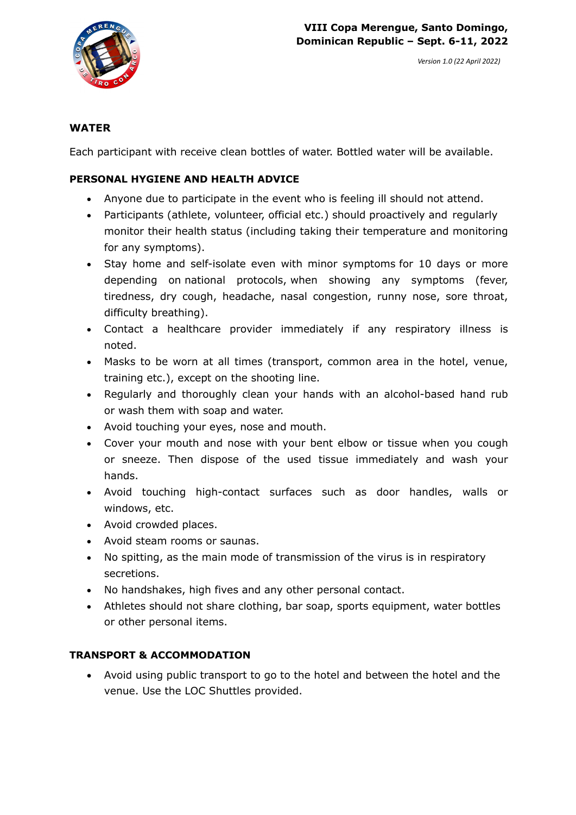

### **WATER**

Each participant with receive clean bottles of water. Bottled water will be available.

### **PERSONAL HYGIENE AND HEALTH ADVICE**

- Anyone due to participate in the event who is feeling ill should not attend.
- Participants (athlete, volunteer, official etc.) should proactively and regularly monitor their health status (including taking their temperature and monitoring for any symptoms).
- Stay home and self-isolate even with minor symptoms for 10 days or more depending on national protocols, when showing any symptoms (fever, tiredness, dry cough, headache, nasal congestion, runny nose, sore throat, difficulty breathing).
- Contact a healthcare provider immediately if any respiratory illness is noted.
- Masks to be worn at all times (transport, common area in the hotel, venue, training etc.), except on the shooting line.
- Regularly and thoroughly clean your hands with an alcohol-based hand rub or wash them with soap and water.
- Avoid touching your eyes, nose and mouth.
- Cover your mouth and nose with your bent elbow or tissue when you cough or sneeze. Then dispose of the used tissue immediately and wash your hands.
- Avoid touching high-contact surfaces such as door handles, walls or windows, etc.
- Avoid crowded places.
- Avoid steam rooms or saunas.
- No spitting, as the main mode of transmission of the virus is in respiratory secretions.
- No handshakes, high fives and any other personal contact.
- Athletes should not share clothing, bar soap, sports equipment, water bottles or other personal items.

### **TRANSPORT & ACCOMMODATION**

• Avoid using public transport to go to the hotel and between the hotel and the venue. Use the LOC Shuttles provided.